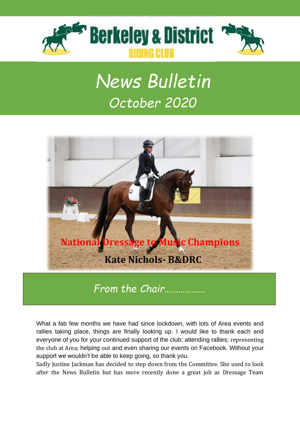

# *News Bulletin October 2020*



*From the Chair………………*

What a fab few months we have had since lockdown, with lots of Area events and rallies taking place, things are finally looking up. I would like to thank each and everyone of you for your continued support of the club; attending rallies; representing the club at Area; helping out and even sharing our events on Facebook. Without your support we wouldn't be able to keep going, so thank you.

Sadly Justine Jackman has decided to step down from the Committee. She used to look after the News Bulletin but has more recently done a great job as Dressage Team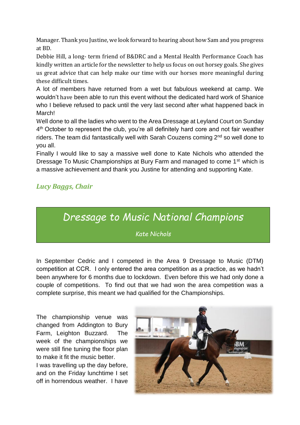Manager. Thank you Justine, we look forward to hearing about how Sam and you progress at BD.

Debbie Hill, a long- term friend of B&DRC and a Mental Health Performance Coach has kindly written an article for the newsletter to help us focus on out horsey goals. She gives us great advice that can help make our time with our horses more meaningful during these difficult times.

A lot of members have returned from a wet but fabulous weekend at camp. We wouldn't have been able to run this event without the dedicated hard work of Shanice who I believe refused to pack until the very last second after what happened back in March!

Well done to all the ladies who went to the Area Dressage at Leyland Court on Sunday 4<sup>th</sup> October to represent the club, you're all definitely hard core and not fair weather riders. The team did fantastically well with Sarah Couzens coming 2<sup>nd</sup> so well done to you all.

Finally I would like to say a massive well done to Kate Nichols who attended the Dressage To Music Championships at Bury Farm and managed to come 1<sup>st</sup> which is a massive achievement and thank you Justine for attending and supporting Kate.

#### *Lucy Baggs, Chair*

### *Dressage to Music National Champions*

*Kate Nichols*

In September Cedric and I competed in the Area 9 Dressage to Music (DTM) competition at CCR. I only entered the area competition as a practice, as we hadn't been anywhere for 6 months due to lockdown. Even before this we had only done a couple of competitions. To find out that we had won the area competition was a complete surprise, this meant we had qualified for the Championships.

The championship venue was changed from Addington to Bury Farm, Leighton Buzzard. The week of the championships we were still fine tuning the floor plan to make it fit the music better.

I was travelling up the day before, and on the Friday lunchtime I set off in horrendous weather. I have

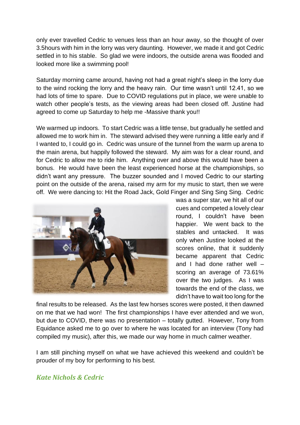only ever travelled Cedric to venues less than an hour away, so the thought of over 3.5hours with him in the lorry was very daunting. However, we made it and got Cedric settled in to his stable. So glad we were indoors, the outside arena was flooded and looked more like a swimming pool!

Saturday morning came around, having not had a great night's sleep in the lorry due to the wind rocking the lorry and the heavy rain. Our time wasn't until 12.41, so we had lots of time to spare. Due to COVID regulations put in place, we were unable to watch other people's tests, as the viewing areas had been closed off. Justine had agreed to come up Saturday to help me -Massive thank you!!

We warmed up indoors. To start Cedric was a little tense, but gradually he settled and allowed me to work him in. The steward advised they were running a little early and if I wanted to, I could go in. Cedric was unsure of the tunnel from the warm up arena to the main arena, but happily followed the steward. My aim was for a clear round, and for Cedric to allow me to ride him. Anything over and above this would have been a bonus. He would have been the least experienced horse at the championships, so didn't want any pressure. The buzzer sounded and I moved Cedric to our starting point on the outside of the arena, raised my arm for my music to start, then we were off. We were dancing to: Hit the Road Jack, Gold Finger and Sing Sing Sing. Cedric



was a super star, we hit all of our cues and competed a lovely clear round, I couldn't have been happier. We went back to the stables and untacked. It was only when Justine looked at the scores online, that it suddenly became apparent that Cedric and I had done rather well – scoring an average of 73.61% over the two judges. As I was towards the end of the class, we didn't have to wait too long for the

final results to be released. As the last few horses scores were posted, it then dawned on me that we had won! The first championships I have ever attended and we won, but due to COVID, there was no presentation – totally gutted. However, Tony from Equidance asked me to go over to where he was located for an interview (Tony had compiled my music), after this, we made our way home in much calmer weather.

I am still pinching myself on what we have achieved this weekend and couldn't be prouder of my boy for performing to his best.

#### *Kate Nichols & Cedric*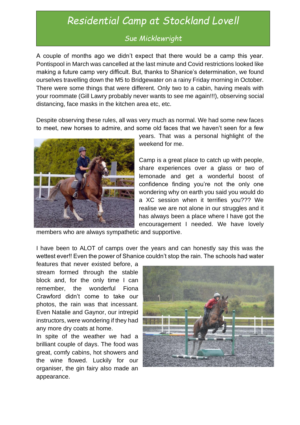# *Residential Camp at Stockland Lovell*

#### *Sue Micklewright*

A couple of months ago we didn't expect that there would be a camp this year. Pontispool in March was cancelled at the last minute and Covid restrictions looked like making a future camp very difficult. But, thanks to Shanice's determination, we found ourselves travelling down the M5 to Bridgewater on a rainy Friday morning in October. There were some things that were different. Only two to a cabin, having meals with your roommate (Gill Lawry probably never wants to see me again!!!), observing social distancing, face masks in the kitchen area etc, etc.

Despite observing these rules, all was very much as normal. We had some new faces to meet, new horses to admire, and some old faces that we haven't seen for a few



years. That was a personal highlight of the weekend for me.

Camp is a great place to catch up with people, share experiences over a glass or two of lemonade and get a wonderful boost of confidence finding you're not the only one wondering why on earth you said you would do a XC session when it terrifies you??? We realise we are not alone in our struggles and it has always been a place where I have got the encouragement I needed. We have lovely

members who are always sympathetic and supportive.

I have been to ALOT of camps over the years and can honestly say this was the wettest ever!! Even the power of Shanice couldn't stop the rain. The schools had water

features that never existed before, a stream formed through the stable block and, for the only time I can remember, the wonderful Fiona Crawford didn't come to take our photos, the rain was that incessant. Even Natalie and Gaynor, our intrepid instructors, were wondering if they had any more dry coats at home.

In spite of the weather we had a brilliant couple of days. The food was great, comfy cabins, hot showers and the wine flowed. Luckily for our organiser, the gin fairy also made an appearance.

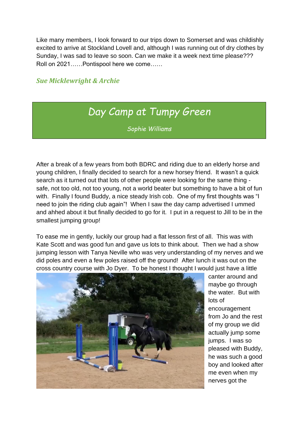Like many members, I look forward to our trips down to Somerset and was childishly excited to arrive at Stockland Lovell and, although I was running out of dry clothes by Sunday, I was sad to leave so soon. Can we make it a week next time please??? Roll on 2021……Pontispool here we come……

#### *Sue Micklewright & Archie*

## *Day Camp at Tumpy Green*

*Sophie Williams*

After a break of a few years from both BDRC and riding due to an elderly horse and young children, I finally decided to search for a new horsey friend. It wasn't a quick search as it turned out that lots of other people were looking for the same thing safe, not too old, not too young, not a world beater but something to have a bit of fun with. Finally I found Buddy, a nice steady Irish cob. One of my first thoughts was "I need to join the riding club again"! When I saw the day camp advertised I ummed and ahhed about it but finally decided to go for it. I put in a request to Jill to be in the smallest jumping group!

To ease me in gently, luckily our group had a flat lesson first of all. This was with Kate Scott and was good fun and gave us lots to think about. Then we had a show jumping lesson with Tanya Neville who was very understanding of my nerves and we did poles and even a few poles raised off the ground! After lunch it was out on the cross country course with Jo Dyer. To be honest I thought I would just have a little



canter around and maybe go through the water. But with lots of

encouragement from Jo and the rest of my group we did actually jump some jumps. I was so pleased with Buddy, he was such a good boy and looked after me even when my nerves got the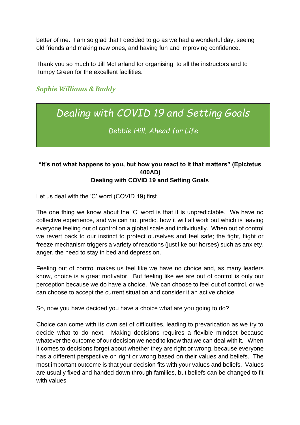better of me. I am so glad that I decided to go as we had a wonderful day, seeing old friends and making new ones, and having fun and improving confidence.

Thank you so much to Jill McFarland for organising, to all the instructors and to Tumpy Green for the excellent facilities.

#### *Sophie Williams & Buddy*

# *Dealing with COVID 19 and Setting Goals*

*Debbie Hill, Ahead for Life*

#### **"It's not what happens to you, but how you react to it that matters" (Epictetus 400AD) Dealing with COVID 19 and Setting Goals**

Let us deal with the 'C' word (COVID 19) first.

The one thing we know about the 'C' word is that it is unpredictable. We have no collective experience, and we can not predict how it will all work out which is leaving everyone feeling out of control on a global scale and individually. When out of control we revert back to our instinct to protect ourselves and feel safe; the fight, flight or freeze mechanism triggers a variety of reactions (just like our horses) such as anxiety, anger, the need to stay in bed and depression.

Feeling out of control makes us feel like we have no choice and, as many leaders know, choice is a great motivator. But feeling like we are out of control is only our perception because we do have a choice. We can choose to feel out of control, or we can choose to accept the current situation and consider it an active choice

So, now you have decided you have a choice what are you going to do?

Choice can come with its own set of difficulties, leading to prevarication as we try to decide what to do next. Making decisions requires a flexible mindset because whatever the outcome of our decision we need to know that we can deal with it. When it comes to decisions forget about whether they are right or wrong, because everyone has a different perspective on right or wrong based on their values and beliefs. The most important outcome is that your decision fits with your values and beliefs. Values are usually fixed and handed down through families, but beliefs can be changed to fit with values.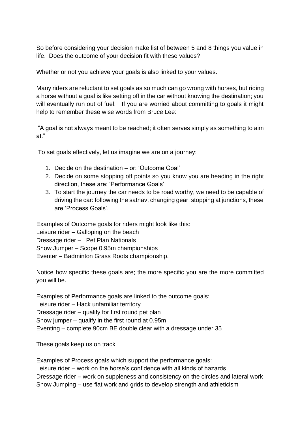So before considering your decision make list of between 5 and 8 things you value in life. Does the outcome of your decision fit with these values?

Whether or not you achieve your goals is also linked to your values.

Many riders are reluctant to set goals as so much can go wrong with horses, but riding a horse without a goal is like setting off in the car without knowing the destination; you will eventually run out of fuel. If you are worried about committing to goals it might help to remember these wise words from Bruce Lee:

"A goal is not always meant to be reached; it often serves simply as something to aim at."

To set goals effectively, let us imagine we are on a journey:

- 1. Decide on the destination or: 'Outcome Goal'
- 2. Decide on some stopping off points so you know you are heading in the right direction, these are: 'Performance Goals'
- 3. To start the journey the car needs to be road worthy, we need to be capable of driving the car: following the satnav, changing gear, stopping at junctions, these are 'Process Goals'.

Examples of Outcome goals for riders might look like this: Leisure rider – Galloping on the beach Dressage rider – Pet Plan Nationals Show Jumper – Scope 0.95m championships Eventer – Badminton Grass Roots championship.

Notice how specific these goals are; the more specific you are the more committed you will be.

Examples of Performance goals are linked to the outcome goals: Leisure rider – Hack unfamiliar territory Dressage rider – qualify for first round pet plan Show jumper – qualify in the first round at 0.95m Eventing – complete 90cm BE double clear with a dressage under 35

These goals keep us on track

Examples of Process goals which support the performance goals: Leisure rider – work on the horse's confidence with all kinds of hazards Dressage rider – work on suppleness and consistency on the circles and lateral work Show Jumping – use flat work and grids to develop strength and athleticism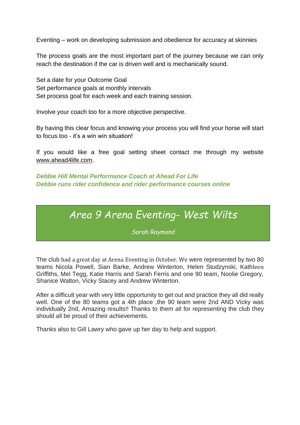Eventing – work on developing submission and obedience for accuracy at skinnies

The process goals are the most important part of the journey because we can only reach the destination if the car is driven well and is mechanically sound.

Set a date for your Outcome Goal Set performance goals at monthly intervals Set process goal for each week and each training session.

Involve your coach too for a more objective perspective.

By having this clear focus and knowing your process you will find your horse will start to focus too - it's a win win situation!

If you would like a free goal setting sheet contact me through my website [www.ahead4life.com.](http://www.ahead4life.com/)

*Debbie Hill Mental Performance Coach at Ahead For Life Debbie runs rider confidence and rider performance courses online*

### *Area 9 Arena Eventing- West Wilts*

*Sarah Raymond*

The club had a great day at Arena Eventing in October. We were represented by two 80 teams Nicola Powell, Sian Barke, Andrew Winterton, Helen Studzynski, Kathleen Griffiths, Mel Tegg, Katie Harris and Sarah Ferris and one 90 team, Noolie Gregory, Shanice Walton, Vicky Stacey and Andrew Winterton.

After a difficult year with very little opportunity to get out and practice they all did really well. One of the 80 teams got a 4th place , the 90 team were 2nd AND Vicky was individually 2nd, Amazing results!! Thanks to them all for representing the club they should all be proud of their achievements.

Thanks also to Gill Lawry who gave up her day to help and support.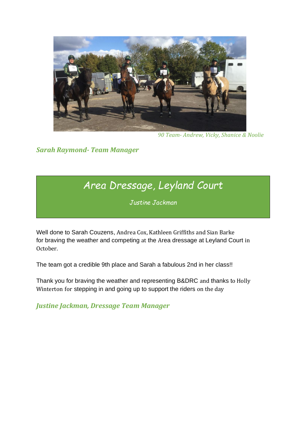

*90 Team- Andrew, Vicky, Shanice & Noolie*

*Sarah Raymond- Team Manager*

# *Area Dressage, Leyland Court*

*Justine Jackman*

Well done to Sarah Couzens, Andrea Cox, Kathleen Griffiths and Sian Barke for braving the weather and competing at the Area dressage at Leyland Court in October.

The team got a credible 9th place and Sarah a fabulous 2nd in her class!!

Thank you for braving the weather and representing B&DRC and thanks to Holly Winterton for stepping in and going up to support the riders on the day

*Justine Jackman, Dressage Team Manager*